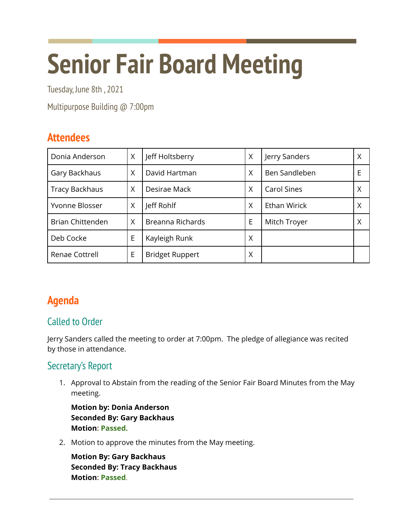# **Senior Fair Board Meeting**

Tuesday, June 8th , 2021

Multipurpose Building @ 7:00pm

# **Attendees**

| Donia Anderson          | Χ | Jeff Holtsberry        | X | Jerry Sanders | Χ |
|-------------------------|---|------------------------|---|---------------|---|
| Gary Backhaus           | X | David Hartman          | X | Ben Sandleben | E |
| <b>Tracy Backhaus</b>   | X | Desirae Mack           | X | Carol Sines   | X |
| Yvonne Blosser          | Χ | Jeff Rohlf             | X | Ethan Wirick  | Χ |
| <b>Brian Chittenden</b> | X | Breanna Richards       | E | Mitch Troyer  | X |
| Deb Cocke               | E | Kayleigh Runk          | X |               |   |
| Renae Cottrell          | E | <b>Bridget Ruppert</b> | Χ |               |   |

# **Agenda**

## Called to Order

Jerry Sanders called the meeting to order at 7:00pm. The pledge of allegiance was recited by those in attendance.

## Secretary's Report

1. Approval to Abstain from the reading of the Senior Fair Board Minutes from the May meeting.

**Motion by: Donia Anderson Seconded By: Gary Backhaus Motion: Passed.**

2. Motion to approve the minutes from the May meeting.

**Motion By: Gary Backhaus Seconded By: Tracy Backhaus Motion: Passed**.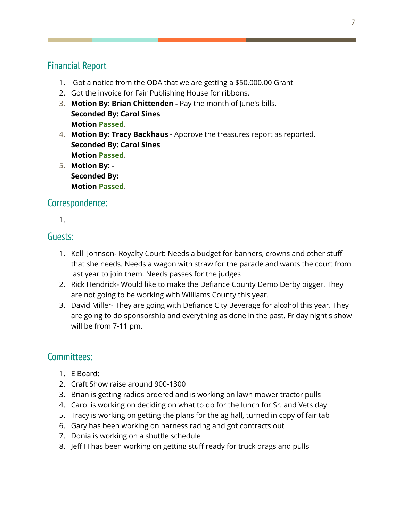## Financial Report

- 1. Got a notice from the ODA that we are getting a \$50,000.00 Grant
- 2. Got the invoice for Fair Publishing House for ribbons.
- 3. **Motion By: Brian Chittenden -** Pay the month of June's bills. **Seconded By: Carol Sines Motion Passed**.
- 4. **Motion By: Tracy Backhaus -** Approve the treasures report as reported. **Seconded By: Carol Sines Motion Passed.**
- 5. **Motion By: - Seconded By: Motion Passed**.

## Correspondence:

1.

## Guests:

- 1. Kelli Johnson- Royalty Court: Needs a budget for banners, crowns and other stuff that she needs. Needs a wagon with straw for the parade and wants the court from last year to join them. Needs passes for the judges
- 2. Rick Hendrick- Would like to make the Defiance County Demo Derby bigger. They are not going to be working with Williams County this year.
- 3. David Miller- They are going with Defiance City Beverage for alcohol this year. They are going to do sponsorship and everything as done in the past. Friday night's show will be from 7-11 pm.

## Committees:

- 1. E Board:
- 2. Craft Show raise around 900-1300
- 3. Brian is getting radios ordered and is working on lawn mower tractor pulls
- 4. Carol is working on deciding on what to do for the lunch for Sr. and Vets day
- 5. Tracy is working on getting the plans for the ag hall, turned in copy of fair tab
- 6. Gary has been working on harness racing and got contracts out
- 7. Donia is working on a shuttle schedule
- 8. Jeff H has been working on getting stuff ready for truck drags and pulls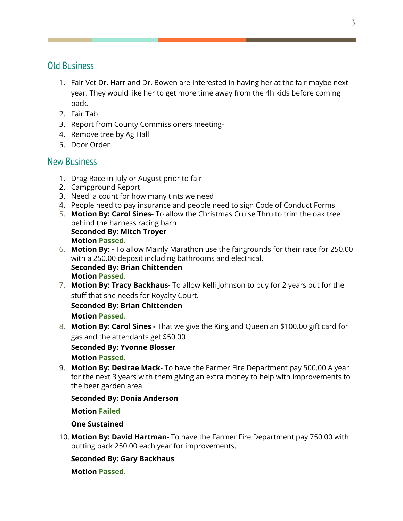### Old Business

- 1. Fair Vet Dr. Harr and Dr. Bowen are interested in having her at the fair maybe next year. They would like her to get more time away from the 4h kids before coming back.
- 2. Fair Tab
- 3. Report from County Commissioners meeting-
- 4. Remove tree by Ag Hall
- 5. Door Order

## New Business

- 1. Drag Race in July or August prior to fair
- 2. Campground Report
- 3. Need a count for how many tints we need
- 4. People need to pay insurance and people need to sign Code of Conduct Forms
- 5. **Motion By: Carol Sines-** To allow the Christmas Cruise Thru to trim the oak tree behind the harness racing barn **Seconded By: Mitch Troyer Motion Passed**.
- 6. **Motion By: -** To allow Mainly Marathon use the fairgrounds for their race for 250.00 with a 250.00 deposit including bathrooms and electrical. **Seconded By: Brian Chittenden Motion Passed**.
- 7. **Motion By: Tracy Backhaus-** To allow Kelli Johnson to buy for 2 years out for the stuff that she needs for Royalty Court.

**Seconded By: Brian Chittenden Motion Passed**.

8. **Motion By: Carol Sines -** That we give the King and Queen an \$100.00 gift card for gas and the attendants get \$50.00

#### **Seconded By: Yvonne Blosser**

**Motion Passed**.

9. **Motion By: Desirae Mack-** To have the Farmer Fire Department pay 500.00 A year for the next 3 years with them giving an extra money to help with improvements to the beer garden area.

#### **Seconded By: Donia Anderson**

#### **Motion Failed**

#### **One Sustained**

10. **Motion By: David Hartman-** To have the Farmer Fire Department pay 750.00 with putting back 250.00 each year for improvements.

#### **Seconded By: Gary Backhaus**

#### **Motion Passed**.